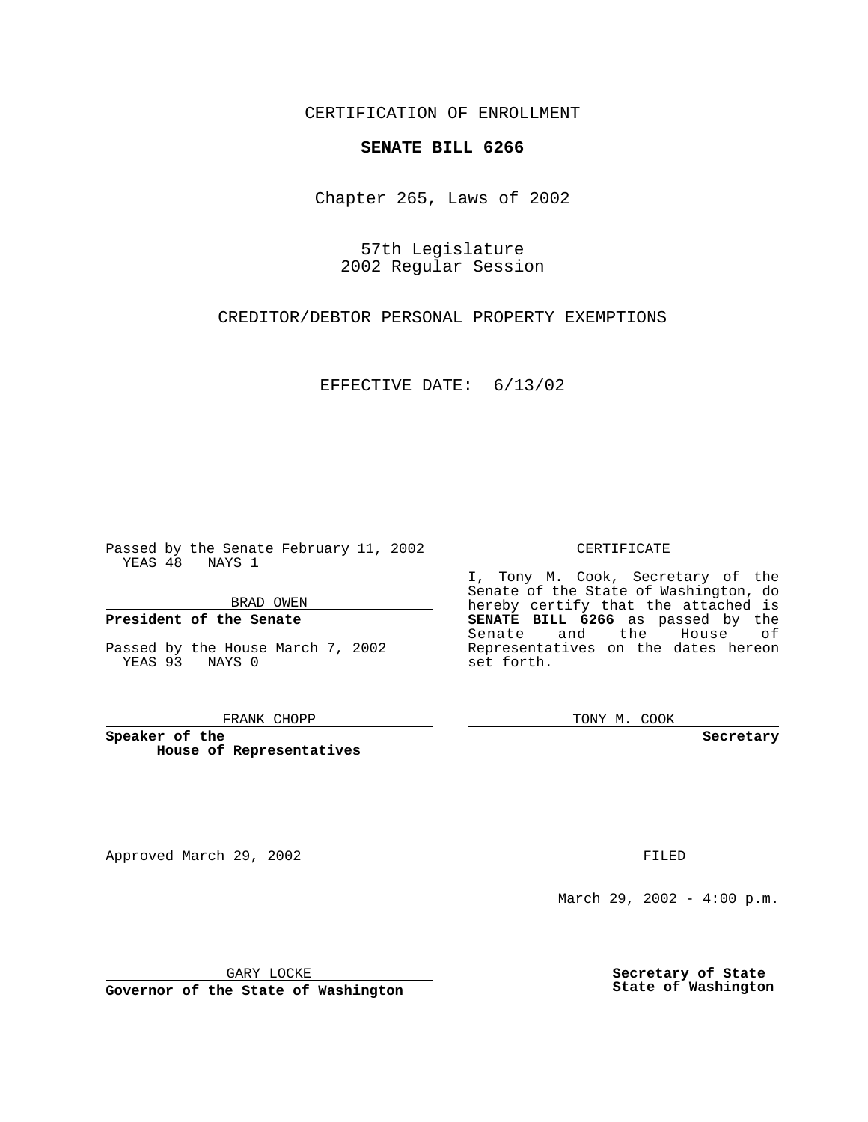CERTIFICATION OF ENROLLMENT

# **SENATE BILL 6266**

Chapter 265, Laws of 2002

57th Legislature 2002 Regular Session

CREDITOR/DEBTOR PERSONAL PROPERTY EXEMPTIONS

EFFECTIVE DATE: 6/13/02

Passed by the Senate February 11, 2002 YEAS 48 NAYS 1

BRAD OWEN

### **President of the Senate**

Passed by the House March 7, 2002 YEAS 93 NAYS 0

#### FRANK CHOPP

**Speaker of the House of Representatives**

Approved March 29, 2002 **FILED** 

### CERTIFICATE

I, Tony M. Cook, Secretary of the Senate of the State of Washington, do hereby certify that the attached is **SENATE BILL 6266** as passed by the Senate and the House of Representatives on the dates hereon set forth.

TONY M. COOK

**Secretary**

March 29, 2002 - 4:00 p.m.

GARY LOCKE

**Governor of the State of Washington**

**Secretary of State State of Washington**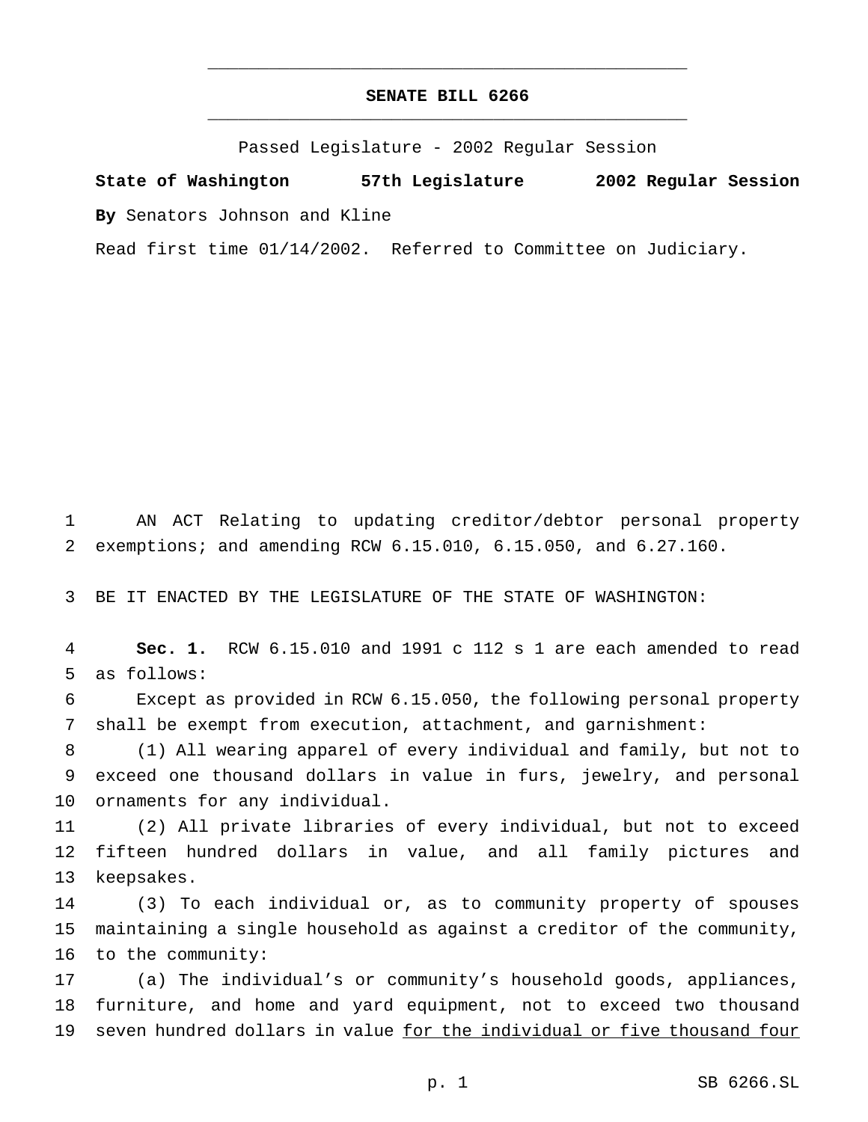## **SENATE BILL 6266** \_\_\_\_\_\_\_\_\_\_\_\_\_\_\_\_\_\_\_\_\_\_\_\_\_\_\_\_\_\_\_\_\_\_\_\_\_\_\_\_\_\_\_\_\_\_\_

\_\_\_\_\_\_\_\_\_\_\_\_\_\_\_\_\_\_\_\_\_\_\_\_\_\_\_\_\_\_\_\_\_\_\_\_\_\_\_\_\_\_\_\_\_\_\_

Passed Legislature - 2002 Regular Session

**State of Washington 57th Legislature 2002 Regular Session By** Senators Johnson and Kline

Read first time 01/14/2002. Referred to Committee on Judiciary.

 AN ACT Relating to updating creditor/debtor personal property exemptions; and amending RCW 6.15.010, 6.15.050, and 6.27.160.

BE IT ENACTED BY THE LEGISLATURE OF THE STATE OF WASHINGTON:

 **Sec. 1.** RCW 6.15.010 and 1991 c 112 s 1 are each amended to read as follows:

 Except as provided in RCW 6.15.050, the following personal property shall be exempt from execution, attachment, and garnishment:

 (1) All wearing apparel of every individual and family, but not to exceed one thousand dollars in value in furs, jewelry, and personal ornaments for any individual.

 (2) All private libraries of every individual, but not to exceed fifteen hundred dollars in value, and all family pictures and keepsakes.

 (3) To each individual or, as to community property of spouses maintaining a single household as against a creditor of the community, to the community:

 (a) The individual's or community's household goods, appliances, furniture, and home and yard equipment, not to exceed two thousand seven hundred dollars in value for the individual or five thousand four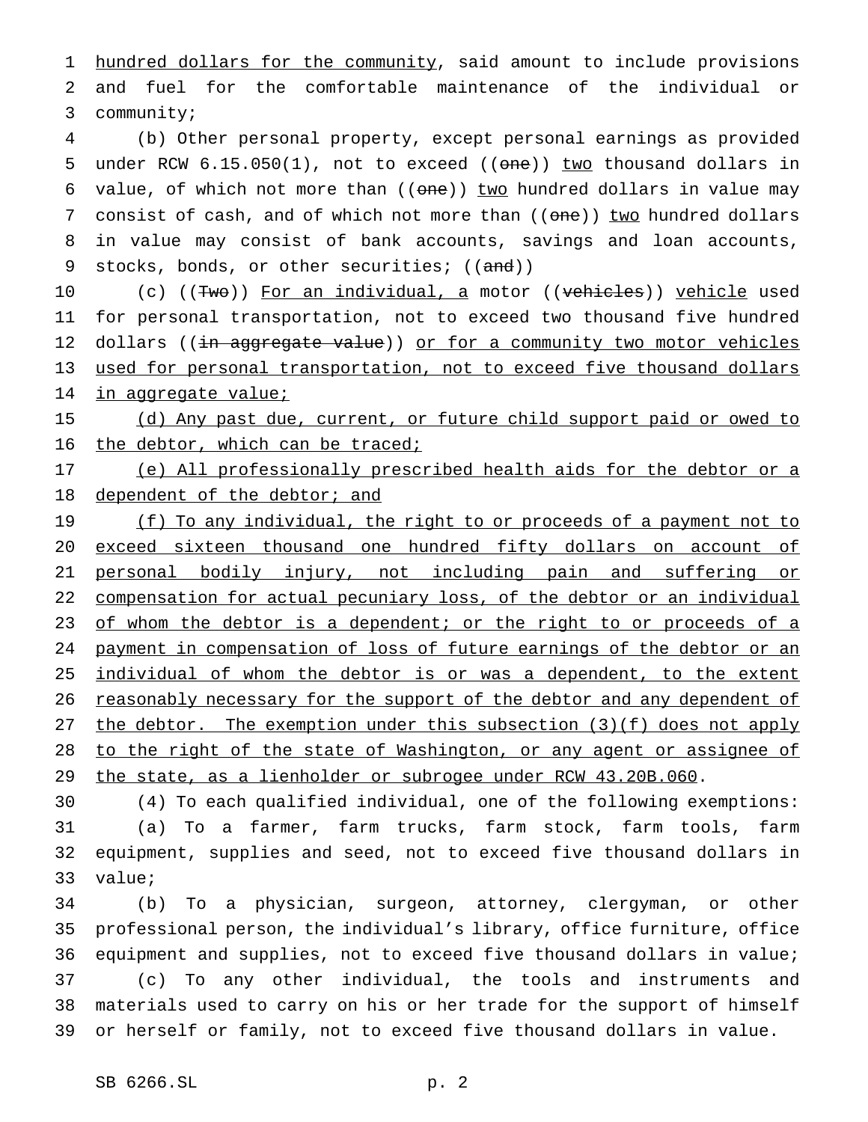1 hundred dollars for the community, said amount to include provisions 2 and fuel for the comfortable maintenance of the individual or 3 community;

4 (b) Other personal property, except personal earnings as provided 5 under RCW  $6.15.050(1)$ , not to exceed (( $\theta$ ne)) two thousand dollars in 6 value, of which not more than  $((one))$  two hundred dollars in value may 7 consist of cash, and of which not more than ((one)) two hundred dollars 8 in value may consist of bank accounts, savings and loan accounts, 9 stocks, bonds, or other securities; ((and))

10 (c) ((Two)) For an individual, a motor ((vehicles)) vehicle used 11 for personal transportation, not to exceed two thousand five hundred 12 dollars ((in aggregate value)) or for a community two motor vehicles 13 used for personal transportation, not to exceed five thousand dollars 14 in aggregate value;

15 (d) Any past due, current, or future child support paid or owed to 16 the debtor, which can be traced;

17 (e) All professionally prescribed health aids for the debtor or a 18 dependent of the debtor; and

19 (f) To any individual, the right to or proceeds of a payment not to 20 exceed sixteen thousand one hundred fifty dollars on account of 21 personal bodily injury, not including pain and suffering or 22 compensation for actual pecuniary loss, of the debtor or an individual 23 of whom the debtor is a dependent; or the right to or proceeds of a 24 payment in compensation of loss of future earnings of the debtor or an 25 individual of whom the debtor is or was a dependent, to the extent 26 reasonably necessary for the support of the debtor and any dependent of 27 the debtor. The exemption under this subsection  $(3)(f)$  does not apply 28 to the right of the state of Washington, or any agent or assignee of 29 the state, as a lienholder or subrogee under RCW 43.20B.060.

 (4) To each qualified individual, one of the following exemptions: (a) To a farmer, farm trucks, farm stock, farm tools, farm equipment, supplies and seed, not to exceed five thousand dollars in 33 value;

 (b) To a physician, surgeon, attorney, clergyman, or other professional person, the individual's library, office furniture, office equipment and supplies, not to exceed five thousand dollars in value; (c) To any other individual, the tools and instruments and materials used to carry on his or her trade for the support of himself or herself or family, not to exceed five thousand dollars in value.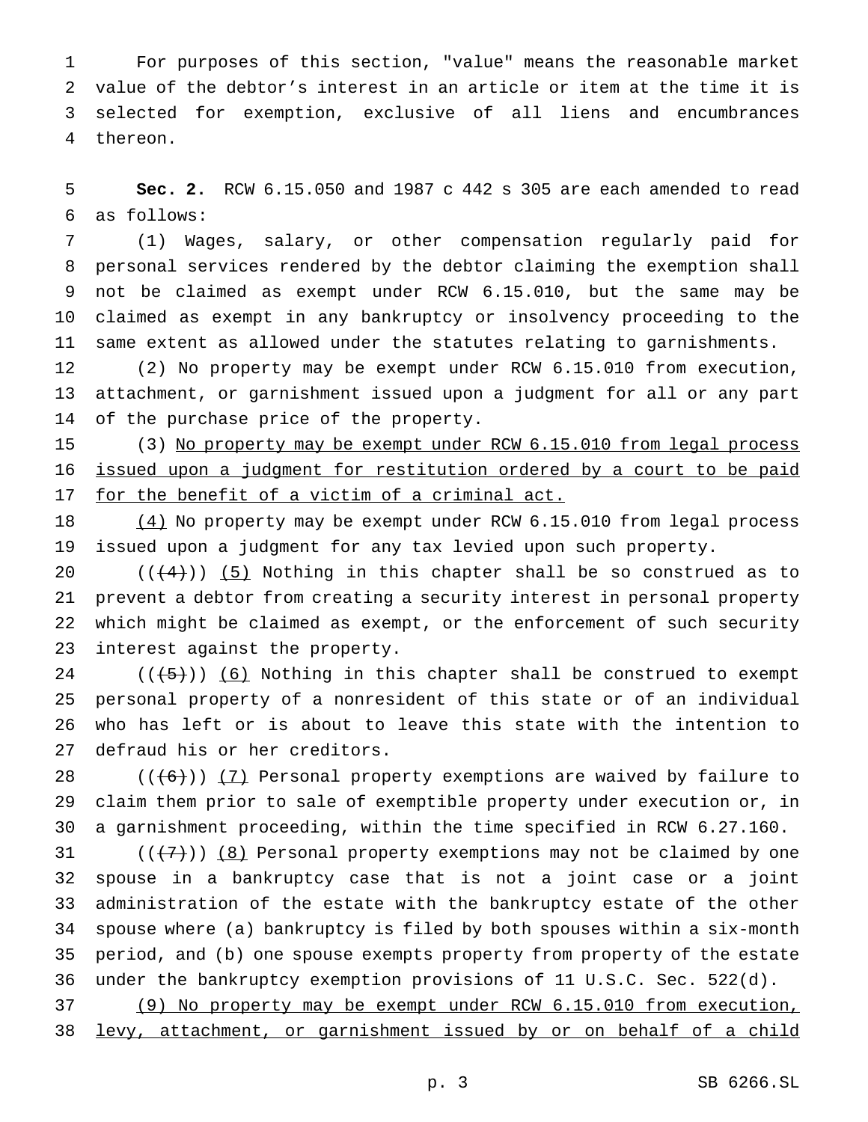For purposes of this section, "value" means the reasonable market value of the debtor's interest in an article or item at the time it is selected for exemption, exclusive of all liens and encumbrances thereon.

 **Sec. 2.** RCW 6.15.050 and 1987 c 442 s 305 are each amended to read as follows:

 (1) Wages, salary, or other compensation regularly paid for personal services rendered by the debtor claiming the exemption shall not be claimed as exempt under RCW 6.15.010, but the same may be claimed as exempt in any bankruptcy or insolvency proceeding to the same extent as allowed under the statutes relating to garnishments.

 (2) No property may be exempt under RCW 6.15.010 from execution, attachment, or garnishment issued upon a judgment for all or any part of the purchase price of the property.

 (3) No property may be exempt under RCW 6.15.010 from legal process issued upon a judgment for restitution ordered by a court to be paid 17 for the benefit of a victim of a criminal act.

18 (4) No property may be exempt under RCW 6.15.010 from legal process issued upon a judgment for any tax levied upon such property.

 $((+4))$  (5) Nothing in this chapter shall be so construed as to prevent a debtor from creating a security interest in personal property which might be claimed as exempt, or the enforcement of such security interest against the property.

 $((+5))$   $(6)$  Nothing in this chapter shall be construed to exempt personal property of a nonresident of this state or of an individual who has left or is about to leave this state with the intention to defraud his or her creditors.

 $((+6))$   $(7)$  Personal property exemptions are waived by failure to claim them prior to sale of exemptible property under execution or, in a garnishment proceeding, within the time specified in RCW 6.27.160.

 $((+7))$   $(8)$  Personal property exemptions may not be claimed by one spouse in a bankruptcy case that is not a joint case or a joint administration of the estate with the bankruptcy estate of the other spouse where (a) bankruptcy is filed by both spouses within a six-month period, and (b) one spouse exempts property from property of the estate under the bankruptcy exemption provisions of 11 U.S.C. Sec. 522(d).

 (9) No property may be exempt under RCW 6.15.010 from execution, levy, attachment, or garnishment issued by or on behalf of a child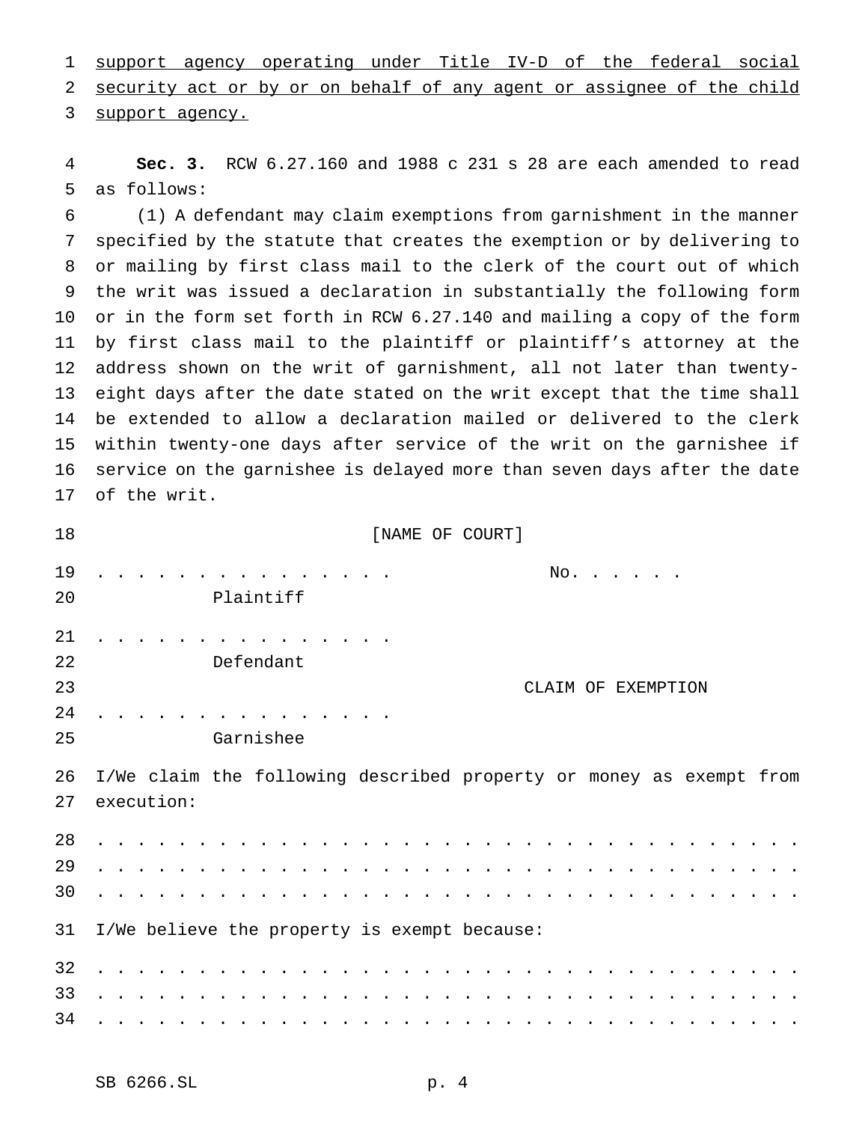support agency operating under Title IV-D of the federal social security act or by or on behalf of any agent or assignee of the child 3 support agency.

 **Sec. 3.** RCW 6.27.160 and 1988 c 231 s 28 are each amended to read as follows:

 (1) A defendant may claim exemptions from garnishment in the manner specified by the statute that creates the exemption or by delivering to or mailing by first class mail to the clerk of the court out of which the writ was issued a declaration in substantially the following form or in the form set forth in RCW 6.27.140 and mailing a copy of the form by first class mail to the plaintiff or plaintiff's attorney at the address shown on the writ of garnishment, all not later than twenty- eight days after the date stated on the writ except that the time shall be extended to allow a declaration mailed or delivered to the clerk within twenty-one days after service of the writ on the garnishee if service on the garnishee is delayed more than seven days after the date of the writ.

| 18             | [NAME OF COURT]                                                                   |  |  |
|----------------|-----------------------------------------------------------------------------------|--|--|
| 19<br>20       | No.<br>Plaintiff                                                                  |  |  |
| 21<br>22<br>23 | Defendant<br>CLAIM OF EXEMPTION                                                   |  |  |
| 24<br>25       | Garnishee                                                                         |  |  |
| 26<br>27       | I/We claim the following described property or money as exempt from<br>execution: |  |  |
| 28<br>29<br>30 |                                                                                   |  |  |
| 31             | I/We believe the property is exempt because:                                      |  |  |
| 32<br>33<br>34 |                                                                                   |  |  |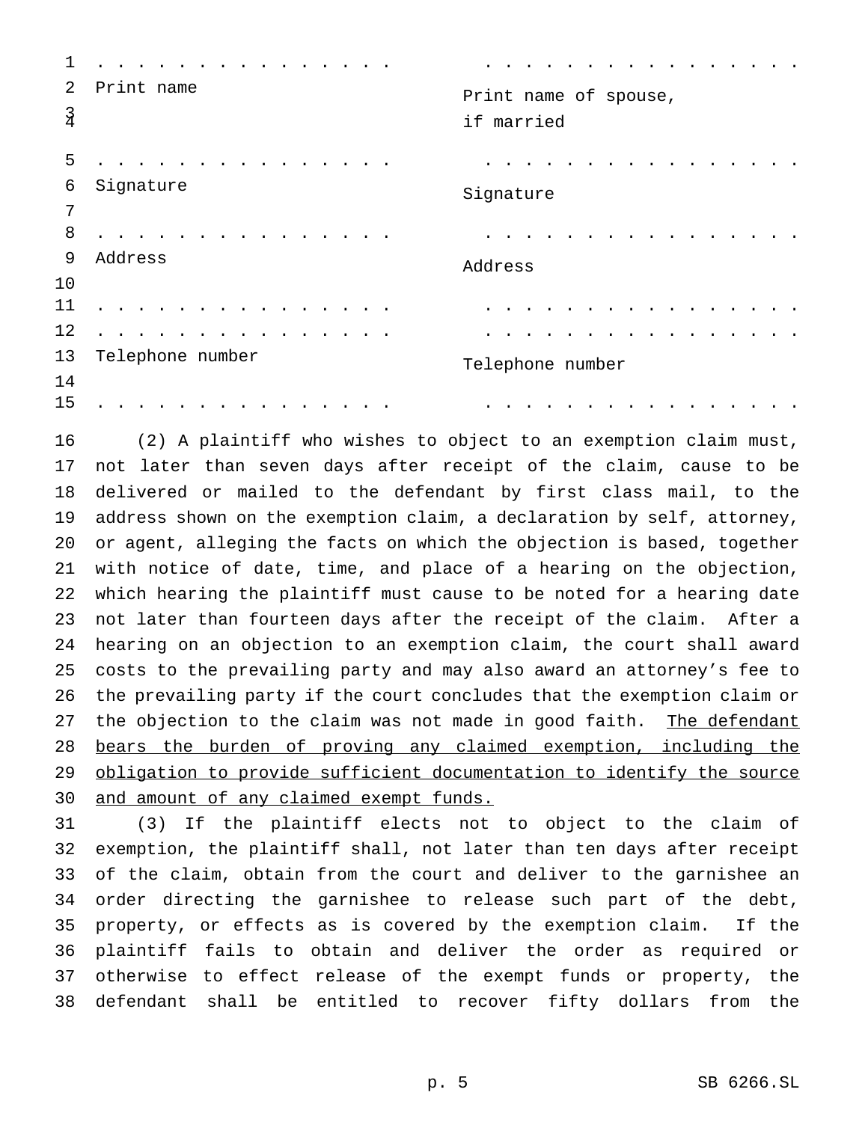| 1                  |                  |                                     |
|--------------------|------------------|-------------------------------------|
| 2<br>$\frac{3}{4}$ | Print name       | Print name of spouse,<br>if married |
| 5                  |                  |                                     |
| 6                  | Signature        | Signature                           |
| 7                  |                  |                                     |
| 8                  |                  |                                     |
| 9                  | Address          | Address                             |
| 10                 |                  |                                     |
| 11                 |                  |                                     |
| 12                 |                  |                                     |
| 13                 | Telephone number | Telephone number                    |
| 14                 |                  |                                     |
| 15                 |                  |                                     |

 (2) A plaintiff who wishes to object to an exemption claim must, not later than seven days after receipt of the claim, cause to be delivered or mailed to the defendant by first class mail, to the address shown on the exemption claim, a declaration by self, attorney, or agent, alleging the facts on which the objection is based, together with notice of date, time, and place of a hearing on the objection, which hearing the plaintiff must cause to be noted for a hearing date not later than fourteen days after the receipt of the claim. After a hearing on an objection to an exemption claim, the court shall award costs to the prevailing party and may also award an attorney's fee to the prevailing party if the court concludes that the exemption claim or 27 the objection to the claim was not made in good faith. The defendant bears the burden of proving any claimed exemption, including the obligation to provide sufficient documentation to identify the source 30 and amount of any claimed exempt funds.

 (3) If the plaintiff elects not to object to the claim of exemption, the plaintiff shall, not later than ten days after receipt of the claim, obtain from the court and deliver to the garnishee an order directing the garnishee to release such part of the debt, property, or effects as is covered by the exemption claim. If the plaintiff fails to obtain and deliver the order as required or otherwise to effect release of the exempt funds or property, the defendant shall be entitled to recover fifty dollars from the